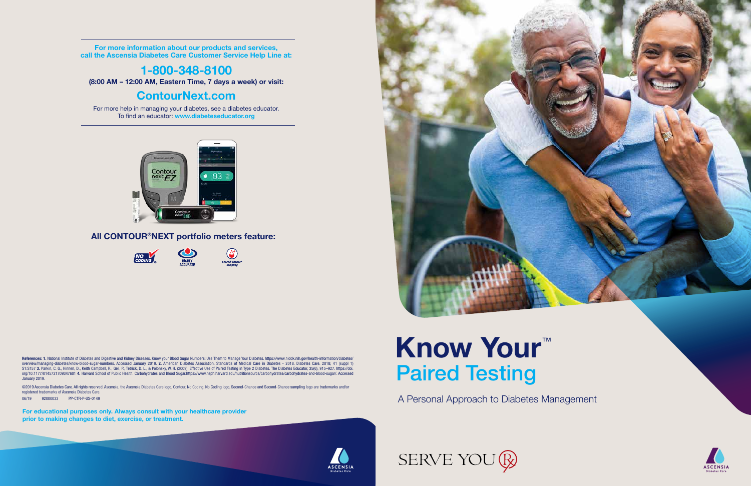A Personal Approach to Diabetes Management



**ASCENSIA Participant Guidean Diabetes Care**<br> **Participant Guidean Diabetes Care** 

# Know Your<sup>™</sup> Paired Testing

For more information about our products and services, call the Ascensia Diabetes Care Customer Service Help Line at:

### 1-800-348-8100

(8:00 AM – 12:00 AM, Eastern Time, 7 days a week) or visit:

### ContourNext.com

For more help in managing your diabetes, see a diabetes educator. To find an educator: www.diabeteseducator.org



### All CONTOUR®NEXT portfolio meters feature:



References: 1. National Institute of Diabetes and Digestive and Kidney Diseases. Know your Blood Sugar Numbers: Use Them to Manage Your Diabetes. https://www.niddk.nih.gov/health-information/diabetes/ overview/managing-diabetes/know-blood-sugar-numbers. Accessed January 2019. 2. American Diabetes Association. Standards of Medical Care in Diabetes - 2018. Diabetes Care. 2018; 41 (suppl 1) S1:S157 3. Parkin, C. G., Hinnen, D., Keith Campbell, R., Geil, P., Tetrick, D. L., & Polonsky, W. H. (2009). Effective Use of Paired Testing in Type 2 Diabetes. The Diabetes Educator, 35(6), 915–927. https://doi. org/10.1177/0145721709347601 4. Harvard School of Public Health. Carbohydrates and Blood Sugar.https://www.hsph.harvard.edu/nutritionsource/carbohydrates/carbohydrates-and-blood-sugar/. Accessed January 2019.

©2019 Ascensia Diabetes Care. All rights reserved. Ascensia, the Ascensia Diabetes Care logo, Contour, No Coding, No Coding logo, Second-Chance and Second-Chance sampling logo are trademarks and/or registered trademarks of Ascensia Diabetes Care.

06/19 92000033 PP-CTR-P-US-0149

For educational purposes only. Always consult with your healthcare provider prior to making changes to diet, exercise, or treatment.



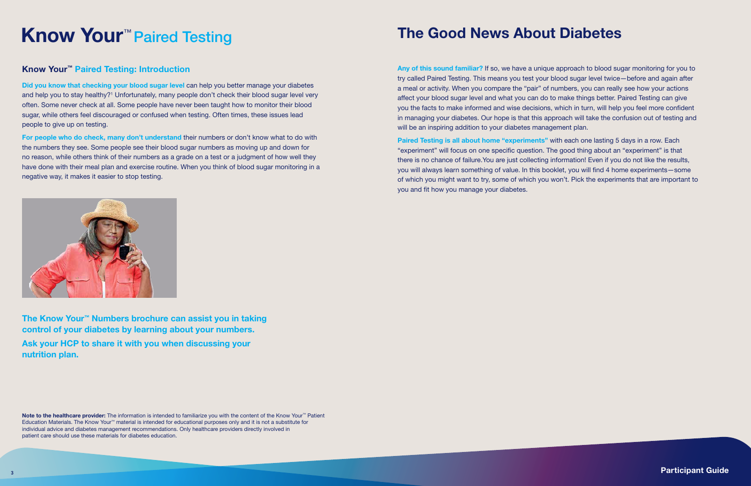Any of this sound familiar? If so, we have a unique approach to blood sugar monitoring for you to try called Paired Testing. This means you test your blood sugar level twice—before and again after a meal or activity. When you compare the "pair" of numbers, you can really see how your actions affect your blood sugar level and what you can do to make things better. Paired Testing can give you the facts to make informed and wise decisions, which in turn, will help you feel more confident in managing your diabetes. Our hope is that this approach will take the confusion out of testing and will be an inspiring addition to your diabetes management plan.

Paired Testing is all about home "experiments" with each one lasting 5 days in a row. Each "experiment" will focus on one specific question. The good thing about an "experiment" is that there is no chance of failure.You are just collecting information! Even if you do not like the results, you will always learn something of value. In this booklet, you will find 4 home experiments—some of which you might want to try, some of which you won't. Pick the experiments that are important to you and fit how you manage your diabetes.



Did you know that checking your blood sugar level can help you better manage your diabetes and help you to stay healthy?<sup>1</sup> Unfortunately, many people don't check their blood sugar level very often. Some never check at all. Some people have never been taught how to monitor their blood sugar, while others feel discouraged or confused when testing. Often times, these issues lead people to give up on testing.

For people who do check, many don't understand their numbers or don't know what to do with the numbers they see. Some people see their blood sugar numbers as moving up and down for no reason, while others think of their numbers as a grade on a test or a judgment of how well they have done with their meal plan and exercise routine. When you think of blood sugar monitoring in a negative way, it makes it easier to stop testing.

### Know Your™ Paired Testing: Introduction

Note to the healthcare provider: The information is intended to familiarize you with the content of the Know Your™ Patient Education Materials. The Know Your™ material is intended for educational purposes only and it is not a substitute for individual advice and diabetes management recommendations. Only healthcare providers directly involved in patient care should use these materials for diabetes education.

# Know Your™ Paired Testing

The Know Your™ Numbers brochure can assist you in taking control of your diabetes by learning about your numbers. Ask your HCP to share it with you when discussing your nutrition plan.

## The Good News About Diabetes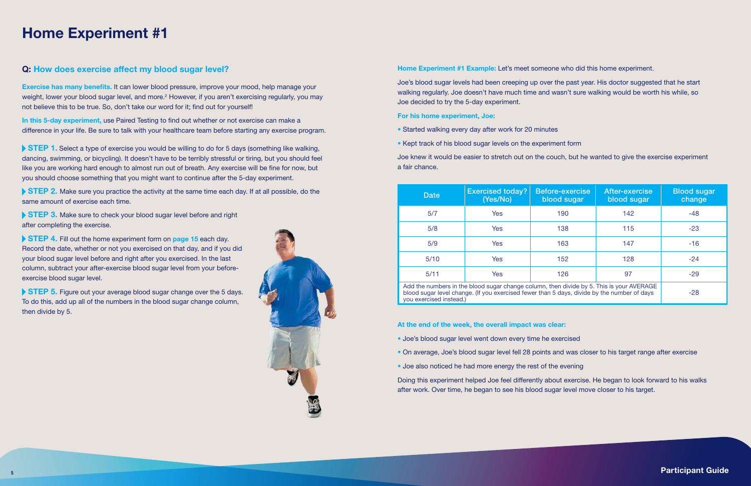## Home Experiment #1

#### Home Experiment #1 Example: Let's meet someone who did this home experiment.

Joe's blood sugar levels had been creeping up over the past year. His doctor suggested that he start walking regularly. Joe doesn't have much time and wasn't sure walking would be worth his while, so Joe decided to try the 5-day experiment.

- Joe's blood sugar level went down every time he exercised
- On average, Joe's blood sugar level fell 28 points and was closer to his target range after exercise
- Joe also noticed he had more energy the rest of the evening

#### For his home experiment, Joe:

- Started walking every day after work for 20 minutes
- Kept track of his blood sugar levels on the experiment form

Joe knew it would be easier to stretch out on the couch, but he wanted to give the exercise experiment a fair chance.

At the end of the week, the overall impact was clear:

Exercise has many benefits. It can lower blood pressure, improve your mood, help manage your weight, lower your blood sugar level, and more.<sup>2</sup> However, if you aren't exercising regularly, you may not believe this to be true. So, don't take our word for it; find out for yourself!

In this 5-day experiment, use Paired Testing to find out whether or not exercise can make a difference in your life. Be sure to talk with your healthcare team before starting any exercise program.

> Doing this experiment helped Joe feel differently about exercise. He began to look forward to his walks after work. Over time, he began to see his blood sugar level move closer to his target.

STEP 1. Select a type of exercise you would be willing to do for 5 days (something like walking, dancing, swimming, or bicycling). It doesn't have to be terribly stressful or tiring, but you should feel like you are working hard enough to almost run out of breath. Any exercise will be fine for now, but you should choose something that you might want to continue after the 5-day experiment.

STEP 2. Make sure you practice the activity at the same time each day. If at all possible, do the same amount of exercise each time.

### Q: How does exercise affect my blood sugar level?

STEP 3. Make sure to check your blood sugar level before and right after completing the exercise.

STEP 4. Fill out the home experiment form on page 15 each day. Record the date, whether or not you exercised on that day, and if you did your blood sugar level before and right after you exercised. In the last column, subtract your after-exercise blood sugar level from your beforeexercise blood sugar level.

STEP 5. Figure out your average blood sugar change over the 5 days. To do this, add up all of the numbers in the blood sugar change column, then divide by 5.



| <b>Date</b>             | <b>Exercised today?</b><br>(Yes/No)                                                                                                                                                     | Before-exercise<br>blood sugar | After-exercise<br>blood sugar | <b>Blood sugar</b><br>change |
|-------------------------|-----------------------------------------------------------------------------------------------------------------------------------------------------------------------------------------|--------------------------------|-------------------------------|------------------------------|
| 5/7                     | Yes                                                                                                                                                                                     | 190                            | 142                           | -48                          |
| 5/8                     | <b>Yes</b>                                                                                                                                                                              | 138                            | 115                           | $-23$                        |
| 5/9                     | <b>Yes</b>                                                                                                                                                                              | 163                            | 147                           | $-16$                        |
| 5/10                    | <b>Yes</b>                                                                                                                                                                              | 152                            | 128                           | $-24$                        |
| 5/11                    | Yes                                                                                                                                                                                     | 126                            | 97                            | $-29$                        |
| you exercised instead.) | Add the numbers in the blood sugar change column, then divide by 5. This is your AVERAGE<br>blood sugar level change. (If you exercised fewer than 5 days, divide by the number of days |                                |                               | $-28$                        |

you exercised instead.)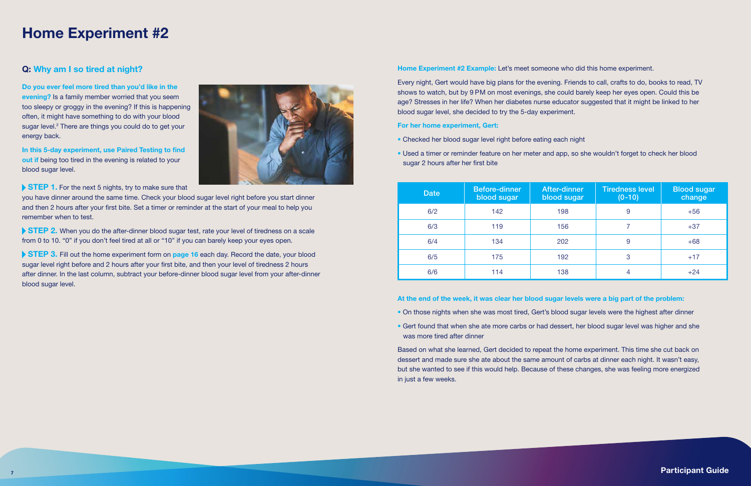## Home Experiment #2

#### Home Experiment #2 Example: Let's meet someone who did this home experiment.

Every night, Gert would have big plans for the evening. Friends to call, crafts to do, books to read, TV shows to watch, but by 9 PM on most evenings, she could barely keep her eyes open. Could this be age? Stresses in her life? When her diabetes nurse educator suggested that it might be linked to her blood sugar level, she decided to try the 5-day experiment.

For her home experiment, Gert:

- Checked her blood sugar level right before eating each night
- Used a timer or reminder feature on her meter and app, so she wouldn't forget to check her blood sugar 2 hours after her first bite

At the end of the week, it was clear her blood sugar levels were a big part of the problem:

- On those nights when she was most tired, Gert's blood sugar levels were the highest after dinner
- Gert found that when she ate more carbs or had dessert, her blood sugar level was higher and she was more tired after dinner

STEP 2. When you do the after-dinner blood sugar test, rate your level of tiredness on a scale from 0 to 10. "0" if you don't feel tired at all or "10" if you can barely keep your eyes open.

> Based on what she learned, Gert decided to repeat the home experiment. This time she cut back on dessert and made sure she ate about the same amount of carbs at dinner each night. It wasn't easy, but she wanted to see if this would help. Because of these changes, she was feeling more energized in just a few weeks.

STEP 3. Fill out the home experiment form on page 16 each day. Record the date, your blood sugar level right before and 2 hours after your first bite, and then your level of tiredness 2 hours after dinner. In the last column, subtract your before-dinner blood sugar level from your after-dinner blood sugar level.

### Q: Why am I so tired at night?

Do you ever feel more tired than you'd like in the evening? Is a family member worried that you seem too sleepy or groggy in the evening? If this is happening often, it might have something to do with your blood sugar level.<sup>2</sup> There are things you could do to get your energy back.

In this 5-day experiment, use Paired Testing to find out if being too tired in the evening is related to your blood sugar level.



STEP 1. For the next 5 nights, try to make sure that

you have dinner around the same time. Check your blood sugar level right before you start dinner and then 2 hours after your first bite. Set a timer or reminder at the start of your meal to help you remember when to test.

| <b>Date</b> | <b>Before-dinner</b><br>blood sugar | <b>After-dinner</b><br>blood sugar | <b>Tiredness level</b><br>$(0-10)$ | <b>Blood</b> sugar<br>change |
|-------------|-------------------------------------|------------------------------------|------------------------------------|------------------------------|
| 6/2         | 142                                 | 198                                | 9                                  | $+56$                        |
| 6/3         | 119                                 | 156                                |                                    | $+37$                        |
| 6/4         | 134                                 | 202                                | 9                                  | $+68$                        |
| 6/5         | 175                                 | 192                                | 3                                  | $+17$                        |
| 6/6         | 114                                 | 138                                | 4                                  | $+24$                        |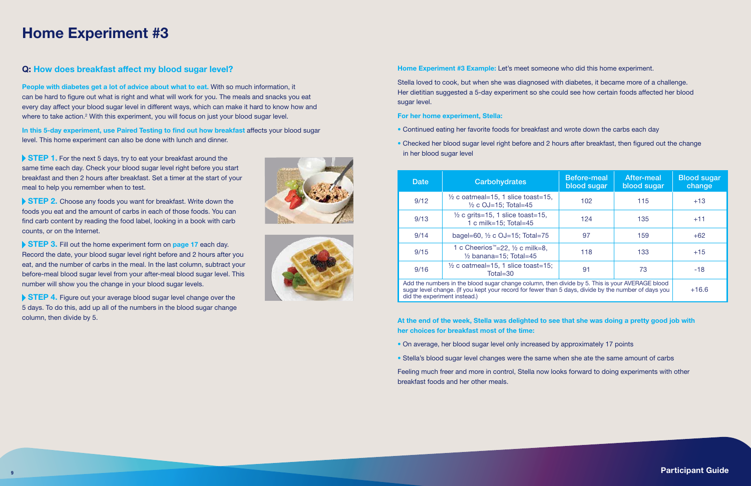## Home Experiment #3

### Home Experiment #3 Example: Let's meet someone who did this home experiment.

Stella loved to cook, but when she was diagnosed with diabetes, it became more of a challenge. Her dietitian suggested a 5-day experiment so she could see how certain foods affected her blood sugar level.

#### For her home experiment, Stella:

- Continued eating her favorite foods for breakfast and wrote down the carbs each day
- Checked her blood sugar level right before and 2 hours after breakfast, then figured out the change in her blood sugar level

At the end of the week, Stella was delighted to see that she was doing a pretty good job with her choices for breakfast most of the time:

- On average, her blood sugar level only increased by approximately 17 points
- Stella's blood sugar level changes were the same when she ate the same amount of carbs

In this 5-day experiment, use Paired Testing to find out how breakfast affects your blood sugar level. This home experiment can also be done with lunch and dinner.

STEP 1. For the next 5 days, try to eat your breakfast around the same time each day. Check your blood sugar level right before you start breakfast and then 2 hours after breakfast. Set a timer at the start of your meal to help you remember when to test.

> Feeling much freer and more in control, Stella now looks forward to doing experiments with other breakfast foods and her other meals.

- 
- 

### Q: How does breakfast affect my blood sugar level?

People with diabetes get a lot of advice about what to eat. With so much information, it can be hard to figure out what is right and what will work for you. The meals and snacks you eat every day affect your blood sugar level in different ways, which can make it hard to know how and where to take action.<sup>2</sup> With this experiment, you will focus on just your blood sugar level.

STEP 2. Choose any foods you want for breakfast. Write down the foods you eat and the amount of carbs in each of those foods. You can find carb content by reading the food label, looking in a book with carb counts, or on the Internet.

STEP 3. Fill out the home experiment form on page 17 each day. Record the date, your blood sugar level right before and 2 hours after you eat, and the number of carbs in the meal. In the last column, subtract your before-meal blood sugar level from your after-meal blood sugar level. This number will show you the change in your blood sugar levels.

STEP 4. Figure out your average blood sugar level change over the 5 days. To do this, add up all of the numbers in the blood sugar change column, then divide by 5.





| <b>Date</b>                 | <b>Carbohydrates</b>                                                                                                                                                                                   | <b>Before-meal</b><br>blood sugar | <b>After-meal</b><br>blood sugar | <b>Blood sugar</b><br>change |
|-----------------------------|--------------------------------------------------------------------------------------------------------------------------------------------------------------------------------------------------------|-----------------------------------|----------------------------------|------------------------------|
| 9/12                        | $\frac{1}{2}$ c oatmeal=15, 1 slice toast=15,<br>$\frac{1}{2}$ c OJ=15; Total=45                                                                                                                       | 102                               | 115                              | $+13$                        |
| 9/13                        | $\frac{1}{2}$ c grits=15, 1 slice toast=15,<br>1 c milk=15; Total=45                                                                                                                                   | 124                               | 135                              | $+11$                        |
| 9/14                        | bagel=60, $\frac{1}{2}$ c OJ=15; Total=75                                                                                                                                                              | 97                                | 159                              | $+62$                        |
| 9/15                        | 1 c Cheerios <sup>™</sup> =22, 1/2 c milk=8,<br>$\frac{1}{2}$ banana=15; Total=45                                                                                                                      | 118                               | 133                              | $+15$                        |
| 9/16                        | $\frac{1}{2}$ c oatmeal=15, 1 slice toast=15;<br>Total=30                                                                                                                                              | 91                                | 73                               | $-18$                        |
| did the experiment instead) | Add the numbers in the blood sugar change column, then divide by 5. This is your AVERAGE blood<br>sugar level change. (If you kept your record for fewer than 5 days, divide by the number of days you |                                   |                                  | $+16.6$                      |

did the experiment instead.)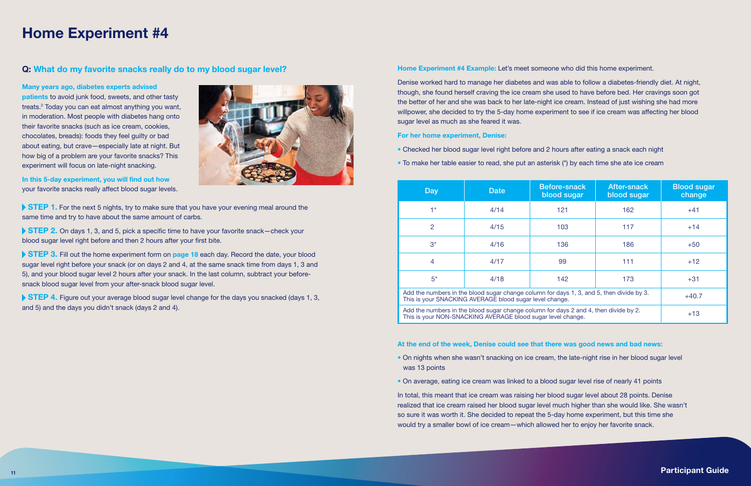## Home Experiment #4

#### Home Experiment #4 Example: Let's meet someone who did this home experiment.

- Checked her blood sugar level right before and 2 hours after eating a snack each night
- To make her table easier to read, she put an aster

Denise worked hard to manage her diabetes and was able to follow a diabetes-friendly diet. At night, though, she found herself craving the ice cream she used to have before bed. Her cravings soon got the better of her and she was back to her late-night ice cream. Instead of just wishing she had more willpower, she decided to try the 5-day home experiment to see if ice cream was affecting her blood sugar level as much as she feared it was.

#### For her home experiment, Denise:

- On nights when she wasn't snacking on ice cream, the late-night rise in her blood sugar level was 13 points
- On average, eating ice cream was linked to a blood sugar level rise of nearly 41 points

patients to avoid junk food, sweets, and other tasty treats.2 Today you can eat almost anything you want, in moderation. Most people with diabetes hang onto their favorite snacks (such as ice cream, cookies, chocolates, breads): foods they feel guilty or bad about eating, but crave—especially late at night. But how big of a problem are your favorite snacks? This experiment will focus on late-night snacking.

STEP 1. For the next 5 nights, try to make sure that you have your evening meal around the same time and try to have about the same amount of carbs.

▶ STEP 2. On days 1, 3, and 5, pick a specific time to have your favorite snack—check your blood sugar level right before and then 2 hours after your first bite.

> In total, this meant that ice cream was raising her blood sugar level about 28 points. Denise realized that ice cream raised her blood sugar level much higher than she would like. She wasn't so sure it was worth it. She decided to repeat the 5-day home experiment, but this time she would try a smaller bowl of ice cream—which allowed her to enjoy her favorite snack.

|  |  |  |  |  |  |  | isk (*) by each time she ate ice cream |
|--|--|--|--|--|--|--|----------------------------------------|
|--|--|--|--|--|--|--|----------------------------------------|

- 
- 
- 
- 

STEP 3. Fill out the home experiment form on page 18 each day. Record the date, your blood sugar level right before your snack (or on days 2 and 4, at the same snack time from days 1, 3 and 5), and your blood sugar level 2 hours after your snack. In the last column, subtract your beforesnack blood sugar level from your after-snack blood sugar level.

STEP 4. Figure out your average blood sugar level change for the days you snacked (days 1, 3, and 5) and the days you didn't snack (days 2 and 4).

### Q: What do my favorite snacks really do to my blood sugar level?

Many years ago, diabetes experts advised

In this 5-day experiment, you will find out how your favorite snacks really affect blood sugar levels.



| Day            | <b>Date</b>                                                 | Before-snack<br>blood sugar                                                              | <b>After-snack</b><br>blood sugar | <b>Blood sugar</b><br>change |
|----------------|-------------------------------------------------------------|------------------------------------------------------------------------------------------|-----------------------------------|------------------------------|
| $1*$           | 4/14                                                        | 121                                                                                      | 162                               | $+41$                        |
| $\overline{2}$ | 4/15                                                        | 103                                                                                      | 117                               | $+14$                        |
| $3^*$          | 4/16                                                        | 136                                                                                      | 186                               | $+50$                        |
| $\overline{4}$ | 4/17                                                        | 99                                                                                       | 111                               | $+12$                        |
| $5^*$          | 4/18                                                        | 142                                                                                      | 173                               | $+31$                        |
|                | This is your SNACKING AVERAGE blood sugar level change.     | Add the numbers in the blood sugar change column for days 1, 3, and 5, then divide by 3. |                                   | $+40.7$                      |
|                | This is your NON-SNACKING AVERAGE blood sugar level change. | Add the numbers in the blood sugar change column for days 2 and 4, then divide by 2.     |                                   | $+13$                        |

#### At the end of the week, Denise could see that there was good news and bad news: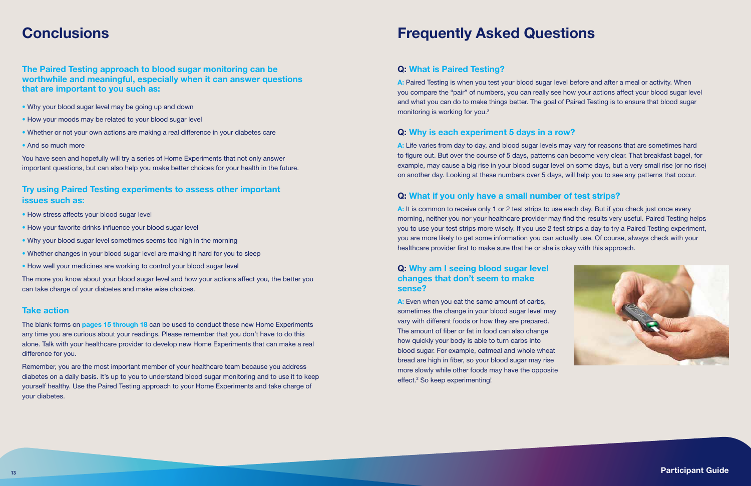### Q: What is Paired Testing?

A: Paired Testing is when you test your blood sugar level before and after a meal or activity. When you compare the "pair" of numbers, you can really see how your actions affect your blood sugar level and what you can do to make things better. The goal of Paired Testing is to ensure that blood sugar monitoring is working for you.3

### Q: Why is each experiment 5 days in a row?

A: Life varies from day to day, and blood sugar levels may vary for reasons that are sometimes hard to figure out. But over the course of 5 days, patterns can become very clear. That breakfast bagel, for example, may cause a big rise in your blood sugar level on some days, but a very small rise (or no rise) on another day. Looking at these numbers over 5 days, will help you to see any patterns that occur.

A: It is common to receive only 1 or 2 test strips to use each day. But if you check just once every morning, neither you nor your healthcare provider may find the results very useful. Paired Testing helps you to use your test strips more wisely. If you use 2 test strips a day to try a Paired Testing experiment, you are more likely to get some information you can actually use. Of course, always check with your healthcare provider first to make sure that he or she is okay with this approach.

### Q: What if you only have a small number of test strips?

- Why your blood sugar level may be going up and down
- How your moods may be related to your blood sugar level
- Whether or not your own actions are making a real difference in your diabetes care
- And so much more

### Q: Why am I seeing blood sugar level changes that don't seem to make sense?

A: Even when you eat the same amount of carbs, sometimes the change in your blood sugar level may vary with different foods or how they are prepared. The amount of fiber or fat in food can also change how quickly your body is able to turn carbs into blood sugar. For example, oatmeal and whole wheat bread are high in fiber, so your blood sugar may rise more slowly while other foods may have the opposite effect.<sup>2</sup> So keep experimenting!



The blank forms on pages 15 through 18 can be used to conduct these new Home Experiments any time you are curious about your readings. Please remember that you don't have to do this alone. Talk with your healthcare provider to develop new Home Experiments that can make a real difference for you.

### **Conclusions**

### The Paired Testing approach to blood sugar monitoring can be worthwhile and meaningful, especially when it can answer questions that are important to you such as:

You have seen and hopefully will try a series of Home Experiments that not only answer important questions, but can also help you make better choices for your health in the future.

### Try using Paired Testing experiments to assess other important issues such as:

- How stress affects your blood sugar level
- How your favorite drinks influence your blood sugar level
- Why your blood sugar level sometimes seems too high in the morning
- Whether changes in your blood sugar level are making it hard for you to sleep
- How well your medicines are working to control your blood sugar level

The more you know about your blood sugar level and how your actions affect you, the better you can take charge of your diabetes and make wise choices.

### Take action

Remember, you are the most important member of your healthcare team because you address diabetes on a daily basis. It's up to you to understand blood sugar monitoring and to use it to keep yourself healthy. Use the Paired Testing approach to your Home Experiments and take charge of your diabetes.

## Frequently Asked Questions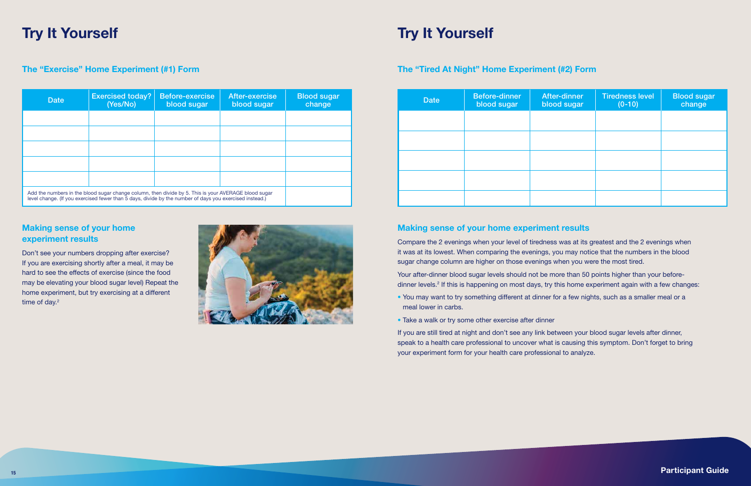## Try It Yourself

Don't see your numbers dropping after exercise? If you are exercising shortly after a meal, it may be hard to see the effects of exercise (since the food may be elevating your blood sugar level) Repeat the home experiment, but try exercising at a different time of day.<sup>2</sup>



### The "Exercise" Home Experiment (#1) Form The "Tired At Night" Home Experiment (#2) Form

### Making sense of your home experiment results

Your after-dinner blood sugar levels should not be more than 50 points higher than your beforedinner levels.<sup>2</sup> If this is happening on most days, try this home experiment again with a few changes:

### Making sense of your home experiment results

Compare the 2 evenings when your level of tiredness was at its greatest and the 2 evenings when it was at its lowest. When comparing the evenings, you may notice that the numbers in the blood sugar change column are higher on those evenings when you were the most tired.

- You may want to try something different at dinner for a few nights, such as a smaller meal or a meal lower in carbs.
- Take a walk or try some other exercise after dinner

If you are still tired at night and don't see any link between your blood sugar levels after dinner, speak to a health care professional to uncover what is causing this symptom. Don't forget to bring your experiment form for your health care professional to analyze.

- 
- 

## Try It Yourself

| <b>Date</b> | <b>Exercised today?</b><br>(Yes/No)                                                                                                                                                                             | <b>Before-exercise</b><br>blood sugar | After-exercise<br>blood sugar | <b>Blood sugar</b><br>change |
|-------------|-----------------------------------------------------------------------------------------------------------------------------------------------------------------------------------------------------------------|---------------------------------------|-------------------------------|------------------------------|
|             |                                                                                                                                                                                                                 |                                       |                               |                              |
|             |                                                                                                                                                                                                                 |                                       |                               |                              |
|             |                                                                                                                                                                                                                 |                                       |                               |                              |
|             |                                                                                                                                                                                                                 |                                       |                               |                              |
|             |                                                                                                                                                                                                                 |                                       |                               |                              |
|             | Add the numbers in the blood sugar change column, then divide by 5. This is your AVERAGE blood sugar<br>level change. (If you exercised fewer than 5 days, divide by the number of days you exercised instead.) |                                       |                               |                              |

| <b>Date</b> | Before-dinner<br>blood sugar | <b>After-dinner</b><br>blood sugar | <b>Tiredness level</b><br>$(0-10)$ | <b>Blood sugar</b><br>change |
|-------------|------------------------------|------------------------------------|------------------------------------|------------------------------|
|             |                              |                                    |                                    |                              |
|             |                              |                                    |                                    |                              |
|             |                              |                                    |                                    |                              |
|             |                              |                                    |                                    |                              |
|             |                              |                                    |                                    |                              |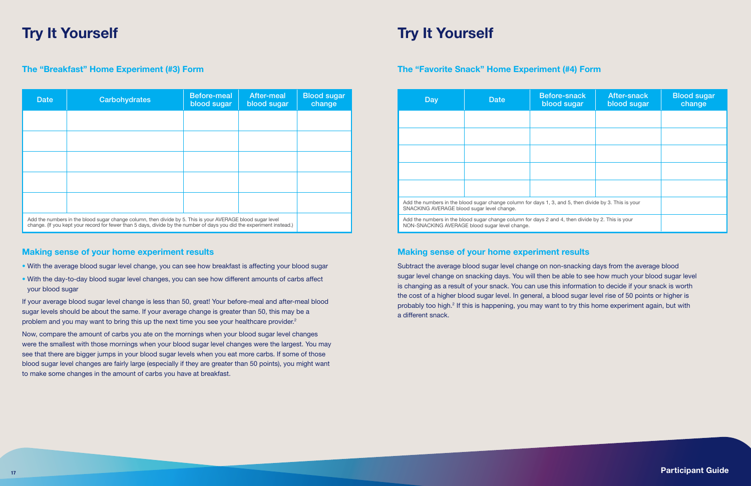## Try It Yourself

### The "Breakfast" Home Experiment (#3) Form The "Favorite Snack" Home Experiment (#4) Form

### Making sense of your home experiment results

If your average blood sugar level change is less than 50, great! Your before-meal and after-meal blood sugar levels should be about the same. If your average change is greater than 50, this may be a problem and you may want to bring this up the next time you see your healthcare provider.<sup>2</sup>

- With the average blood sugar level change, you can see how breakfast is affecting your blood sugar
- With the day-to-day blood sugar level changes, you can see how different amounts of carbs affect your blood sugar

Now, compare the amount of carbs you ate on the mornings when your blood sugar level changes were the smallest with those mornings when your blood sugar level changes were the largest. You may see that there are bigger jumps in your blood sugar levels when you eat more carbs. If some of those blood sugar level changes are fairly large (especially if they are greater than 50 points), you might want to make some changes in the amount of carbs you have at breakfast.

### Making sense of your home experiment results

Subtract the average blood sugar level change on non-snacking days from the average blood sugar level change on snacking days. You will then be able to see how much your blood sugar level is changing as a result of your snack. You can use this information to decide if your snack is worth the cost of a higher blood sugar level. In general, a blood sugar level rise of 50 points or higher is probably too high.<sup>2</sup> If this is happening, you may want to try this home experiment again, but with a different snack.

## Try It Yourself

| <b>Date</b> | <b>Carbohydrates</b>                                                                                                                                                                                                                | <b>Before-meal</b><br>blood sugar | After-meal<br>blood sugar | <b>Blood sugar</b><br>change |
|-------------|-------------------------------------------------------------------------------------------------------------------------------------------------------------------------------------------------------------------------------------|-----------------------------------|---------------------------|------------------------------|
|             |                                                                                                                                                                                                                                     |                                   |                           |                              |
|             |                                                                                                                                                                                                                                     |                                   |                           |                              |
|             |                                                                                                                                                                                                                                     |                                   |                           |                              |
|             |                                                                                                                                                                                                                                     |                                   |                           |                              |
|             |                                                                                                                                                                                                                                     |                                   |                           |                              |
|             | Add the numbers in the blood sugar change column, then divide by 5. This is your AVERAGE blood sugar level<br>change. (If you kept your record for fewer than 5 days, divide by the number of days you did the experiment instead.) |                                   |                           |                              |

| Day                                        | <b>Date</b>                                                                                                                                         | <b>Before-snack</b><br>blood sugar | <b>After-snack</b><br>blood sugar | <b>Blood sugar</b><br>change |
|--------------------------------------------|-----------------------------------------------------------------------------------------------------------------------------------------------------|------------------------------------|-----------------------------------|------------------------------|
|                                            |                                                                                                                                                     |                                    |                                   |                              |
|                                            |                                                                                                                                                     |                                    |                                   |                              |
|                                            |                                                                                                                                                     |                                    |                                   |                              |
|                                            |                                                                                                                                                     |                                    |                                   |                              |
|                                            |                                                                                                                                                     |                                    |                                   |                              |
| SNACKING AVERAGE blood sugar level change. | Add the numbers in the blood sugar change column for days 1, 3, and 5, then divide by 3. This is your                                               |                                    |                                   |                              |
|                                            | Add the numbers in the blood sugar change column for days 2 and 4, then divide by 2. This is your<br>NON-SNACKING AVERAGE blood sugar level change. |                                    |                                   |                              |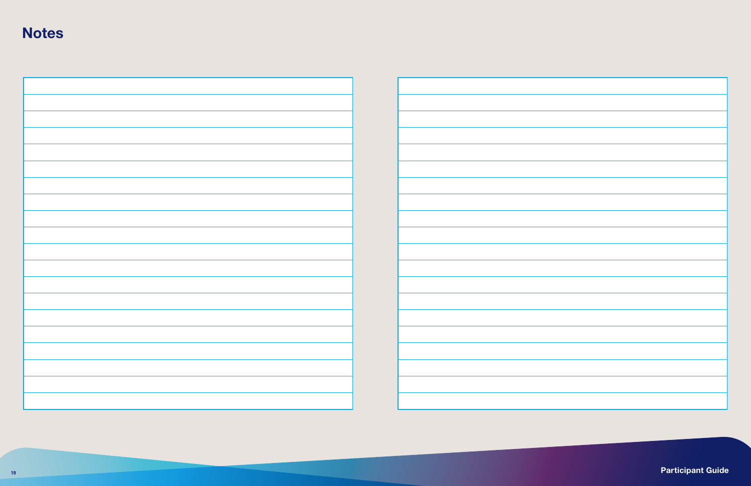## **Notes**



<sup>19</sup> **Participant Guide**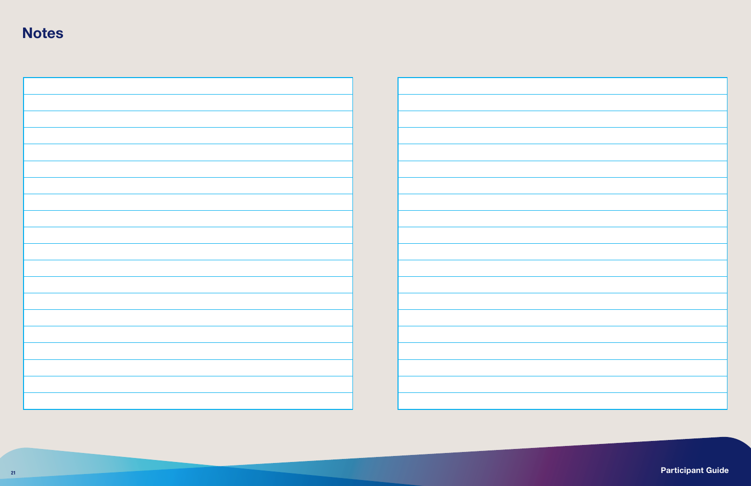## **Notes**



<sup>21</sup> **Participant Guide**